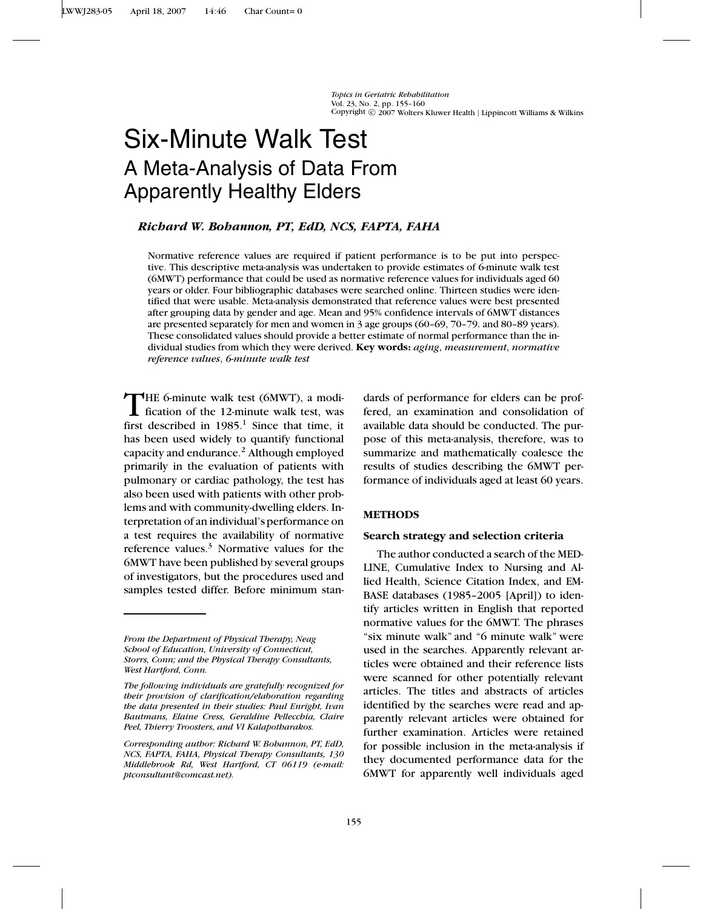*Topics in Geriatric Rehabilitation* Vol. 23, No. 2, pp. 155–160<br>Copyright © 2007 Wolters Kluwer Health | Lippincott Williams & Wilkins

# Six-Minute Walk Test A Meta-Analysis of Data From Apparently Healthy Elders

## *Richard W. Bohannon, PT, EdD, NCS, FAPTA, FAHA*

Normative reference values are required if patient performance is to be put into perspective. This descriptive meta-analysis was undertaken to provide estimates of 6-minute walk test (6MWT) performance that could be used as normative reference values for individuals aged 60 years or older. Four bibliographic databases were searched online. Thirteen studies were identified that were usable. Meta-analysis demonstrated that reference values were best presented after grouping data by gender and age. Mean and 95% confidence intervals of 6MWT distances are presented separately for men and women in 3 age groups (60–69, 70–79. and 80–89 years). These consolidated values should provide a better estimate of normal performance than the individual studies from which they were derived. **Key words:** *aging*, *measurement*, *normative reference values*, *6-minute walk test*

THE 6-minute walk test (6MWT), a modi-<br>fication of the 12-minute walk test, was first described in  $1985$ .<sup>1</sup> Since that time, it has been used widely to quantify functional capacity and endurance.2 Although employed primarily in the evaluation of patients with pulmonary or cardiac pathology, the test has also been used with patients with other problems and with community-dwelling elders. Interpretation of an individual's performance on a test requires the availability of normative reference values. $3$  Normative values for the 6MWT have been published by several groups of investigators, but the procedures used and samples tested differ. Before minimum stan-

dards of performance for elders can be proffered, an examination and consolidation of available data should be conducted. The purpose of this meta-analysis, therefore, was to summarize and mathematically coalesce the results of studies describing the 6MWT performance of individuals aged at least 60 years.

#### **METHODS**

#### **Search strategy and selection criteria**

The author conducted a search of the MED-LINE, Cumulative Index to Nursing and Allied Health, Science Citation Index, and EM-BASE databases (1985–2005 [April]) to identify articles written in English that reported normative values for the 6MWT. The phrases "six minute walk" and "6 minute walk" were used in the searches. Apparently relevant articles were obtained and their reference lists were scanned for other potentially relevant articles. The titles and abstracts of articles identified by the searches were read and apparently relevant articles were obtained for further examination. Articles were retained for possible inclusion in the meta-analysis if they documented performance data for the 6MWT for apparently well individuals aged

*From the Department of Physical Therapy, Neag School of Education, University of Connecticut, Storrs, Conn; and the Physical Therapy Consultants, West Hartford, Conn.*

*The following individuals are gratefully recognized for their provision of clarification/elaboration regarding the data presented in their studies: Paul Enright, Ivan Bautmans, Elaine Cress, Geraldine Pellecchia, Claire Peel, Thierry Troosters, and VI Kalapotharakos.*

*Corresponding author: Richard W. Bohannon, PT, EdD, NCS, FAPTA, FAHA, Physical Therapy Consultants, 130 Middlebrook Rd, West Hartford, CT 06119 (e-mail: ptconsultant@comcast.net).*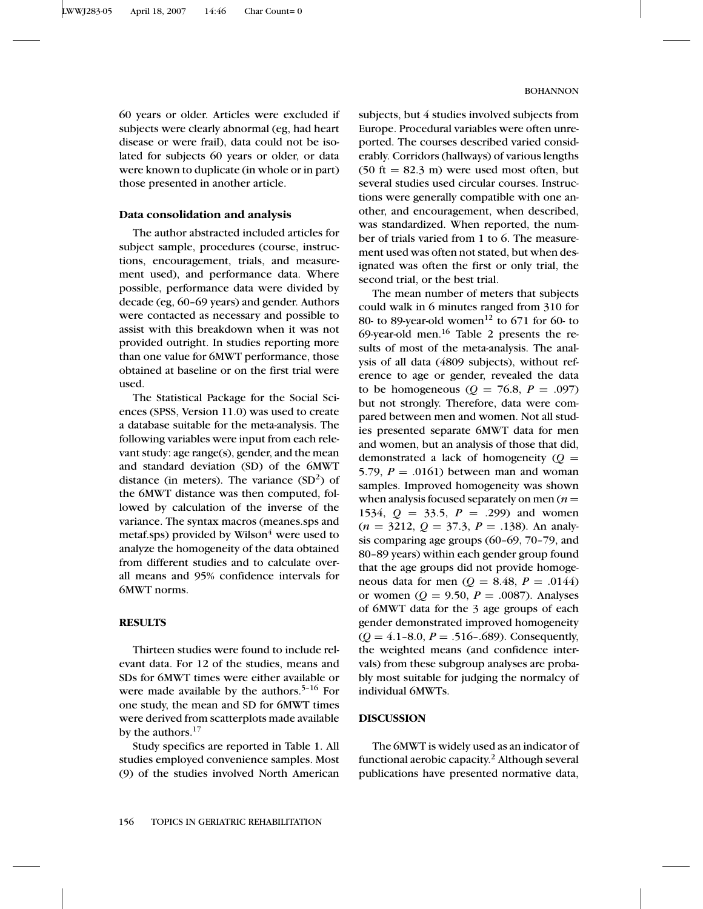60 years or older. Articles were excluded if subjects were clearly abnormal (eg, had heart disease or were frail), data could not be isolated for subjects 60 years or older, or data were known to duplicate (in whole or in part) those presented in another article.

## **Data consolidation and analysis**

The author abstracted included articles for subject sample, procedures (course, instructions, encouragement, trials, and measurement used), and performance data. Where possible, performance data were divided by decade (eg, 60–69 years) and gender. Authors were contacted as necessary and possible to assist with this breakdown when it was not provided outright. In studies reporting more than one value for 6MWT performance, those obtained at baseline or on the first trial were used.

The Statistical Package for the Social Sciences (SPSS, Version 11.0) was used to create a database suitable for the meta-analysis. The following variables were input from each relevant study: age range(s), gender, and the mean and standard deviation (SD) of the 6MWT distance (in meters). The variance  $(SD<sup>2</sup>)$  of the 6MWT distance was then computed, followed by calculation of the inverse of the variance. The syntax macros (meanes.sps and metaf.sps) provided by Wilson $<sup>4</sup>$  were used to</sup> analyze the homogeneity of the data obtained from different studies and to calculate overall means and 95% confidence intervals for 6MWT norms.

#### **RESULTS**

Thirteen studies were found to include relevant data. For 12 of the studies, means and SDs for 6MWT times were either available or were made available by the authors.<sup>5-16</sup> For one study, the mean and SD for 6MWT times were derived from scatterplots made available by the authors.<sup>17</sup>

Study specifics are reported in Table 1. All studies employed convenience samples. Most (9) of the studies involved North American

subjects, but 4 studies involved subjects from Europe. Procedural variables were often unreported. The courses described varied considerably. Corridors (hallways) of various lengths  $(50 \text{ ft} = 82.3 \text{ m})$  were used most often, but several studies used circular courses. Instructions were generally compatible with one another, and encouragement, when described, was standardized. When reported, the number of trials varied from 1 to 6. The measurement used was often not stated, but when designated was often the first or only trial, the second trial, or the best trial.

The mean number of meters that subjects could walk in 6 minutes ranged from 310 for 80- to 89-year-old women<sup>12</sup> to 671 for 60- to 69-year-old men. $16$  Table 2 presents the results of most of the meta-analysis. The analysis of all data (4809 subjects), without reference to age or gender, revealed the data to be homogeneous ( $Q = 76.8$ ,  $P = .097$ ) but not strongly. Therefore, data were compared between men and women. Not all studies presented separate 6MWT data for men and women, but an analysis of those that did, demonstrated a lack of homogeneity  $(Q =$ 5.79,  $P = .0161$ ) between man and woman samples. Improved homogeneity was shown when analysis focused separately on men  $(n =$ 1534,  $Q = 33.5$ ,  $P = .299$  and women  $(n = 3212, Q = 37.3, P = .138)$ . An analysis comparing age groups (60–69, 70–79, and 80–89 years) within each gender group found that the age groups did not provide homogeneous data for men ( $Q = 8.48$ ,  $P = .0144$ ) or women ( $Q = 9.50$ ,  $P = .0087$ ). Analyses of 6MWT data for the 3 age groups of each gender demonstrated improved homogeneity (*Q* = 4.1–8.0, *P* = .516–.689). Consequently, the weighted means (and confidence intervals) from these subgroup analyses are probably most suitable for judging the normalcy of individual 6MWTs.

## **DISCUSSION**

The 6MWT is widely used as an indicator of functional aerobic capacity.<sup>2</sup> Although several publications have presented normative data,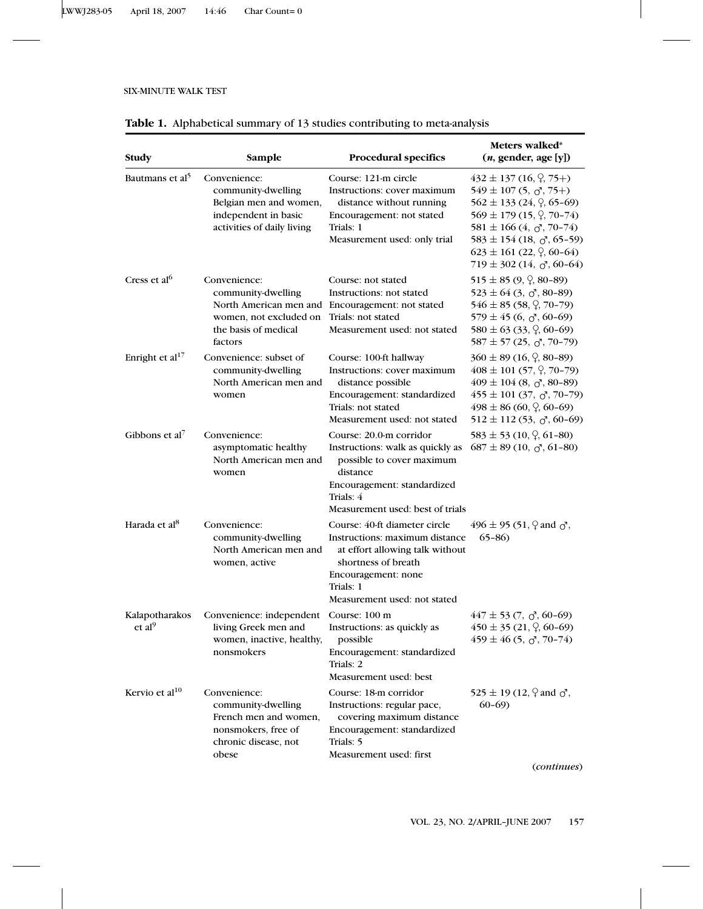## SIX-MINUTE WALK TEST

| Table 1. Alphabetical summary of 13 studies contributing to meta-analysis |  |  |  |
|---------------------------------------------------------------------------|--|--|--|
|---------------------------------------------------------------------------|--|--|--|

| Study                                | Sample                                                                                                              | <b>Procedural specifics</b>                                                                                                                                                                   | Meters walked*<br>(n, gender, age[y])                                                                                                                                                                                                                                                                                       |
|--------------------------------------|---------------------------------------------------------------------------------------------------------------------|-----------------------------------------------------------------------------------------------------------------------------------------------------------------------------------------------|-----------------------------------------------------------------------------------------------------------------------------------------------------------------------------------------------------------------------------------------------------------------------------------------------------------------------------|
| Bautmans et al <sup>5</sup>          | Convenience:<br>community-dwelling<br>Belgian men and women,<br>independent in basic<br>activities of daily living  | Course: 121-m circle<br>Instructions: cover maximum<br>distance without running<br>Encouragement: not stated<br>Trials: 1<br>Measurement used: only trial                                     | $432 \pm 137$ (16, $\varphi$ , 75+)<br>$549 \pm 107$ (5, $\sigma$ , 75+)<br>$562 \pm 133$ (24, $\varphi$ , 65-69)<br>$569 \pm 179$ (15, $\sqrt{2}$ , 70-74)<br>$581 \pm 166$ (4, $\sigma$ , 70-74)<br>$583 \pm 154$ (18, $\sigma$ , 65-59)<br>$623 \pm 161$ (22, $\varphi$ , 60-64)<br>$719 \pm 302$ (14, $\sigma$ , 60-64) |
| Cress et al <sup>6</sup>             | Convenience:<br>community-dwelling<br>women, not excluded on<br>the basis of medical<br>factors                     | Course: not stated<br>Instructions: not stated<br>North American men and Encouragement: not stated<br>Trials: not stated<br>Measurement used: not stated                                      | $515 \pm 85$ (9, $\frac{6}{5}$ , 80-89)<br>$523 \pm 64$ (3, $\sigma$ , 80-89)<br>$546 \pm 85$ (58, $\frac{6}{7}$ , 70-79)<br>$579 \pm 45$ (6, $\sigma$ , 60-69)<br>$580 \pm 63$ (33, $\varphi$ , 60-69)<br>$587 \pm 57$ (25, $\sigma$ , 70-79)                                                                              |
| Enright et al <sup>17</sup>          | Convenience: subset of<br>community-dwelling<br>North American men and<br>women                                     | Course: 100-ft hallway<br>Instructions: cover maximum<br>distance possible<br>Encouragement: standardized<br>Trials: not stated<br>Measurement used: not stated                               | $360 \pm 89$ (16, $\frac{6}{3}$ , 80-89)<br>$408 \pm 101$ (57, $\varphi$ , 70-79)<br>$409 \pm 104$ (8, $\sigma$ , 80-89)<br>$455 \pm 101$ (37, $\sigma$ , 70-79)<br>$498 \pm 86$ (60, $\degree$ , 60-69)<br>$512 \pm 112$ (53, $\sigma$ , 60-69)                                                                            |
| Gibbons et al <sup>7</sup>           | Convenience:<br>asymptomatic healthy<br>North American men and<br>women                                             | Course: 20.0-m corridor<br>Instructions: walk as quickly as<br>possible to cover maximum<br>distance<br>Encouragement: standardized<br>Trials: 4<br>Measurement used: best of trials          | $583 \pm 53$ (10, $\frac{0}{1}$ , 61-80)<br>$687 \pm 89$ (10, $\sigma$ , 61-80)                                                                                                                                                                                                                                             |
| Harada et al <sup>8</sup>            | Convenience:<br>community-dwelling<br>North American men and<br>women, active                                       | Course: 40-ft diameter circle<br>Instructions: maximum distance<br>at effort allowing talk without<br>shortness of breath<br>Encouragement: none<br>Trials: 1<br>Measurement used: not stated | 496 ± 95 (51, $\varphi$ and $\sigma'$ ,<br>$65 - 86$                                                                                                                                                                                                                                                                        |
| Kalapotharakos<br>et al <sup>9</sup> | Convenience: independent<br>living Greek men and<br>women, inactive, healthy,<br>nonsmokers                         | Course: 100 m<br>Instructions: as quickly as<br>possible<br>Encouragement: standardized<br>Trials: 2<br>Measurement used: best                                                                | $447 \pm 53$ (7, $\sigma$ , 60-69)<br>$450 \pm 35$ (21, $\varphi$ , 60-69)<br>$459 \pm 46$ (5, $\sigma$ , 70-74)                                                                                                                                                                                                            |
| Kervio et al $^{10}$                 | Convenience:<br>community-dwelling<br>French men and women,<br>nonsmokers, free of<br>chronic disease, not<br>obese | Course: 18-m corridor<br>Instructions: regular pace,<br>covering maximum distance<br>Encouragement: standardized<br>Trials: 5<br>Measurement used: first                                      | 525 ± 19 (12, $\varphi$ and $\sigma$ <sup>2</sup> ,<br>$60 - 69$                                                                                                                                                                                                                                                            |

(*continues*)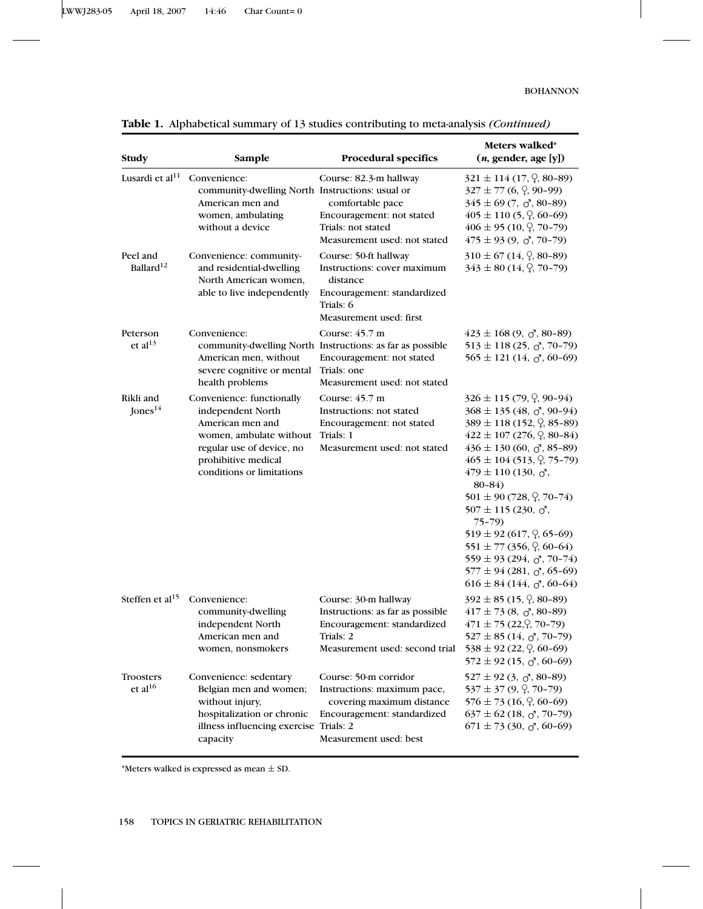LWWJ283-05 April 18, 2007 14:46 Char Count= 0

## BOHANNON

| Study                             | Sample                                                                                                                                                                         | <b>Procedural specifics</b>                                                                                                                                       | Meters walked*<br>$(n,$ gender, age [y])                                                                                                                                                                                                                                                                                                                                                                                                                                                                                                                                                                |
|-----------------------------------|--------------------------------------------------------------------------------------------------------------------------------------------------------------------------------|-------------------------------------------------------------------------------------------------------------------------------------------------------------------|---------------------------------------------------------------------------------------------------------------------------------------------------------------------------------------------------------------------------------------------------------------------------------------------------------------------------------------------------------------------------------------------------------------------------------------------------------------------------------------------------------------------------------------------------------------------------------------------------------|
| Lusardi et al <sup>11</sup>       | Convenience:<br>community-dwelling North Instructions: usual or<br>American men and<br>women, ambulating<br>without a device                                                   | Course: 82.3-m hallway<br>comfortable pace<br>Encouragement: not stated<br>Trials: not stated<br>Measurement used: not stated                                     | $321 \pm 114$ (17, $\varphi$ , 80-89)<br>$327 \pm 77$ (6, $\varphi$ , 90-99)<br>$345 \pm 69$ (7, $\sigma$ , 80-89)<br>$405 \pm 110$ (5, $\varphi$ , 60-69)<br>$406 \pm 95$ (10, $\sqrt{2}$ , 70-79)<br>$475 \pm 93$ (9, $\sigma$ , 70-79)                                                                                                                                                                                                                                                                                                                                                               |
| Peel and<br>Ballard <sup>12</sup> | Convenience: community-<br>and residential-dwelling<br>North American women,<br>able to live independently                                                                     | Course: 50-ft hallway<br>Instructions: cover maximum<br>distance<br>Encouragement: standardized<br>Trials: 6<br>Measurement used: first                           | $310 \pm 67$ (14, $\frac{6}{7}$ , 80-89)<br>$343 \pm 80$ (14, $\sqrt{2}$ , 70-79)                                                                                                                                                                                                                                                                                                                                                                                                                                                                                                                       |
| Peterson<br>et al $^{13}$         | Convenience:<br>American men, without<br>severe cognitive or mental<br>health problems                                                                                         | Course: $45.7 \text{ m}$<br>community-dwelling North Instructions: as far as possible<br>Encouragement: not stated<br>Trials: one<br>Measurement used: not stated | $423 \pm 168$ (9, $\sigma$ , 80-89)<br>$513 \pm 118$ (25, $\sigma$ , 70-79)<br>$565 \pm 121$ (14, $\sigma$ , 60-69)                                                                                                                                                                                                                                                                                                                                                                                                                                                                                     |
| Rikli and<br>Jones $^{14}$        | Convenience: functionally<br>independent North<br>American men and<br>women, ambulate without<br>regular use of device, no<br>prohibitive medical<br>conditions or limitations | Course: $45.7 \text{ m}$<br>Instructions: not stated<br>Encouragement: not stated<br>Trials: 1<br>Measurement used: not stated                                    | $326 \pm 115$ (79, $\varphi$ , 90-94)<br>$368 \pm 135 (48, \sigma, 90-94)$<br>$389 \pm 118$ (152, $\varphi$ , 85-89)<br>$422 \pm 107$ (276, $\varphi$ , 80-84)<br>$436 \pm 130$ (60, $\sigma$ , 85-89)<br>$465 \pm 104$ (513, $\varphi$ , 75-79)<br>$479 \pm 110$ (130, $\sigma'$ )<br>$80 - 84$<br>$501 \pm 90$ (728, $\frac{0}{2}$ , 70-74)<br>$507 \pm 115$ (230, $\sigma'$ )<br>$75 - 79$<br>$519 \pm 92$ (617, $\varphi$ , 65-69)<br>$551 \pm 77$ (356, $\varphi$ , 60-64)<br>$559 \pm 93$ (294, $\sigma$ , 70-74)<br>$577 \pm 94$ (281, $\sigma$ , 65-69)<br>$616 \pm 84$ (144, $\sigma$ , 60-64) |
| Steffen et al $15$                | Convenience:<br>community-dwelling<br>independent North<br>American men and<br>women, nonsmokers                                                                               | Course: 30-m hallway<br>Instructions: as far as possible<br>Encouragement: standardized<br>Trials: 2<br>Measurement used: second trial                            | $392 \pm 85$ (15, $\varphi$ , 80-89)<br>$417 \pm 73$ (8, $\sigma$ , 80-89)<br>$471 \pm 75$ (22, $\degree$ , 70-79)<br>$527 \pm 85$ (14, $\sigma$ , 70-79)<br>$538 \pm 92$ (22, $\frac{0}{7}$ , 60-69)<br>$572 \pm 92$ (15, $\sigma$ , 60-69)                                                                                                                                                                                                                                                                                                                                                            |
| Troosters<br>et al <sup>16</sup>  | Convenience: sedentary<br>Belgian men and women;<br>without injury,<br>hospitalization or chronic<br>illness influencing exercise Trials: 2<br>capacity                        | Course: 50-m corridor<br>Instructions: maximum pace,<br>covering maximum distance<br>Encouragement: standardized<br>Measurement used: best                        | $527 \pm 92$ (3, $\sigma$ , 80-89)<br>$537 \pm 37$ (9, $\sqrt{2}$ , 70-79)<br>$576 \pm 73$ (16, $\varphi$ , 60-69)<br>$637 \pm 62$ (18, $\sigma$ , 70-79)<br>$671 \pm 73$ (30, $\sigma$ , 60-69)                                                                                                                                                                                                                                                                                                                                                                                                        |

## **Table 1.** Alphabetical summary of 13 studies contributing to meta-analysis *(Continued)*

\*Meters walked is expressed as mean  $\pm$  SD.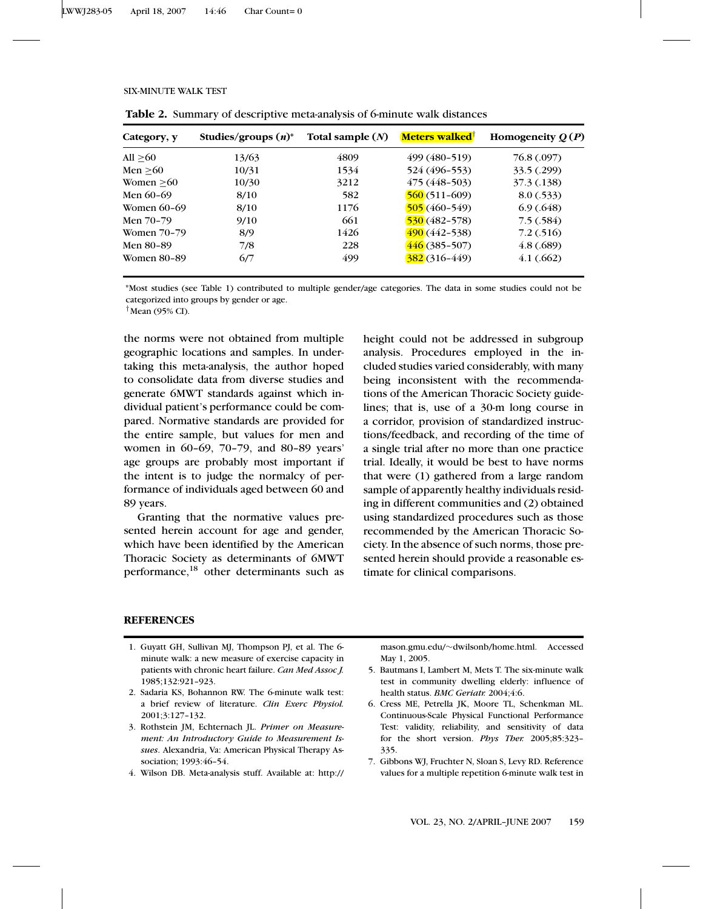| Category, y        | Studies/groups $(n)^*$ | Total sample $(N)$ | <b>Meters walked</b> | Homogeneity $Q(P)$ |
|--------------------|------------------------|--------------------|----------------------|--------------------|
| All $>60$          | 13/63                  | 4809               | 499 (480-519)        | 76.8 (.097)        |
| Men > 60           | 10/31                  | 1534               | 524 (496-553)        | 33.5(.299)         |
| Women $>60$        | 10/30                  | 3212               | $475(448-503)$       | 37.3 (.138)        |
| Men $60-69$        | 8/10                   | 582                | $560(511-609)$       | 8.0(.533)          |
| Women $60-69$      | 8/10                   | 1176               | $505(460-549)$       | 6.9(0.648)         |
| Men 70-79          | 9/10                   | 661                | $530(482 - 578)$     | 7.5(0.584)         |
| <b>Women 70-79</b> | 8/9                    | 1426               | $490(442 - 538)$     | 7.2(0.516)         |
| Men 80-89          | 7/8                    | 228                | $446(385-507)$       | 4.8(.689)          |
| <b>Women 80-89</b> | 6/7                    | 499                | $382(316 - 449)$     | 4.1(.662)          |

#### SIX-MINUTE WALK TEST

**Table 2.** Summary of descriptive meta-analysis of 6-minute walk distances

\*Most studies (see Table 1) contributed to multiple gender/age categories. The data in some studies could not be categorized into groups by gender or age.

 $<sup>†</sup>$ Mean (95% CI).</sup>

the norms were not obtained from multiple geographic locations and samples. In undertaking this meta-analysis, the author hoped to consolidate data from diverse studies and generate 6MWT standards against which individual patient's performance could be compared. Normative standards are provided for the entire sample, but values for men and women in 60–69, 70–79, and 80–89 years' age groups are probably most important if the intent is to judge the normalcy of performance of individuals aged between 60 and 89 years.

Granting that the normative values presented herein account for age and gender, which have been identified by the American Thoracic Society as determinants of 6MWT performance,18 other determinants such as height could not be addressed in subgroup analysis. Procedures employed in the included studies varied considerably, with many being inconsistent with the recommendations of the American Thoracic Society guidelines; that is, use of a 30-m long course in a corridor, provision of standardized instructions/feedback, and recording of the time of a single trial after no more than one practice trial. Ideally, it would be best to have norms that were (1) gathered from a large random sample of apparently healthy individuals residing in different communities and (2) obtained using standardized procedures such as those recommended by the American Thoracic Society. In the absence of such norms, those presented herein should provide a reasonable estimate for clinical comparisons.

#### **REFERENCES**

- 1. Guyatt GH, Sullivan MJ, Thompson PJ, et al. The 6 minute walk: a new measure of exercise capacity in patients with chronic heart failure. *Can Med Assoc J.* 1985;132:921–923.
- 2. Sadaria KS, Bohannon RW. The 6-minute walk test: a brief review of literature. *Clin Exerc Physiol.* 2001;3:127–132.
- 3. Rothstein JM, Echternach JL. *Primer on Measurement: An Introductory Guide to Measurement Issues*. Alexandria, Va: American Physical Therapy Association; 1993:46–54.
- 4. Wilson DB. Meta-analysis stuff. Available at: http://

mason.gmu.edu/∼dwilsonb/home.html. Accessed May 1, 2005.

- 5. Bautmans I, Lambert M, Mets T. The six-minute walk test in community dwelling elderly: influence of health status. *BMC Geriatr.* 2004;4:6.
- 6. Cress ME, Petrella JK, Moore TL, Schenkman ML. Continuous-Scale Physical Functional Performance Test: validity, reliability, and sensitivity of data for the short version. *Phys Ther.* 2005;85:323– 335.
- 7. Gibbons WJ, Fruchter N, Sloan S, Levy RD. Reference values for a multiple repetition 6-minute walk test in